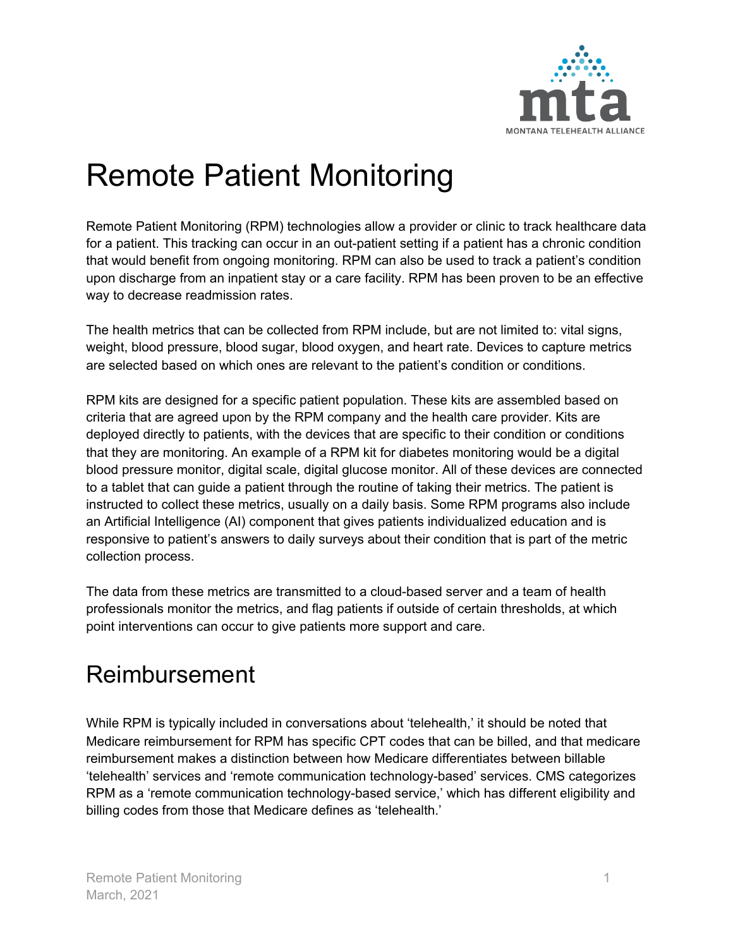

## Remote Patient Monitoring

Remote Patient Monitoring (RPM) technologies allow a provider or clinic to track healthcare data for a patient. This tracking can occur in an out-patient setting if a patient has a chronic condition that would benefit from ongoing monitoring. RPM can also be used to track a patient's condition upon discharge from an inpatient stay or a care facility. RPM has been proven to be an effective way to decrease readmission rates.

The health metrics that can be collected from RPM include, but are not limited to: vital signs, weight, blood pressure, blood sugar, blood oxygen, and heart rate. Devices to capture metrics are selected based on which ones are relevant to the patient's condition or conditions.

RPM kits are designed for a specific patient population. These kits are assembled based on criteria that are agreed upon by the RPM company and the health care provider. Kits are deployed directly to patients, with the devices that are specific to their condition or conditions that they are monitoring. An example of a RPM kit for diabetes monitoring would be a digital blood pressure monitor, digital scale, digital glucose monitor. All of these devices are connected to a tablet that can guide a patient through the routine of taking their metrics. The patient is instructed to collect these metrics, usually on a daily basis. Some RPM programs also include an Artificial Intelligence (AI) component that gives patients individualized education and is responsive to patient's answers to daily surveys about their condition that is part of the metric collection process.

The data from these metrics are transmitted to a cloud-based server and a team of health professionals monitor the metrics, and flag patients if outside of certain thresholds, at which point interventions can occur to give patients more support and care.

## Reimbursement

While RPM is typically included in conversations about 'telehealth,' it should be noted that Medicare reimbursement for RPM has specific CPT codes that can be billed, and that medicare reimbursement makes a distinction between how Medicare differentiates between billable 'telehealth' services and 'remote communication technology-based' services. CMS categorizes RPM as a 'remote communication technology-based service,' which has different eligibility and billing codes from those that Medicare defines as 'telehealth.'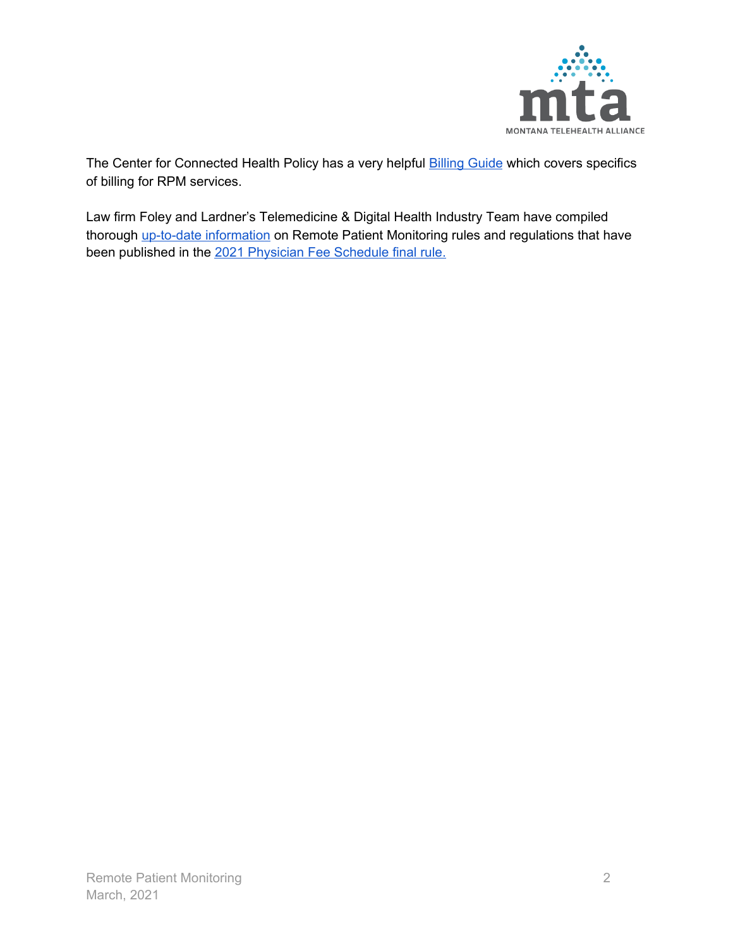

The Center for Connected Health Policy has a very helpful **[Billing](https://www.cchpca.org/sites/default/files/2020-01/Billing%20Guide%20for%20Telehealth%20Encounters_FINAL.pdf) Guide** which covers specifics of billing for RPM services.

Law firm Foley and Lardner's Telemedicine & Digital Health Industry Team have compiled thorough up-to-date [information](https://www.foley.com/en/insights/publications/2020/12/2021-remote-patient-monitoring-cms-final-rule) on Remote Patient Monitoring rules and regulations that have been published in the 2021 [Physician](https://www.cms.gov/Medicare/Medicare-Fee-for-Service-Payment/PhysicianFeeSched) Fee Schedule final rule.